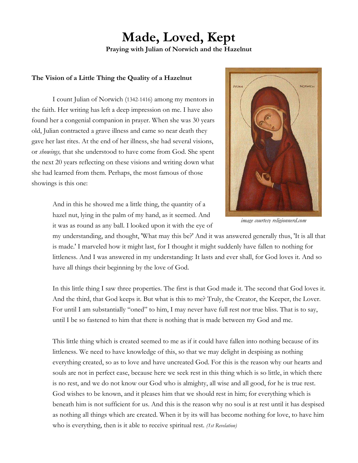### **Made, Loved, Kept Praying with Julian of Norwich and the Hazelnut**

#### **The Vision of a Little Thing the Quality of a Hazelnut**

I count Julian of Norwich (1342-1416) among my mentors in the faith. Her writing has left a deep impression on me. I have also found her a congenial companion in prayer. When she was 30 years old, Julian contracted a grave illness and came so near death they gave her last rites. At the end of her illness, she had several visions, or *showings,* that she understood to have come from God. She spent the next 20 years reflecting on these visions and writing down what she had learned from them. Perhaps, the most famous of those showings is this one:





*image courtesy religionnerd.com*

my understanding, and thought, 'What may this be?' And it was answered generally thus, 'It is all that is made.' I marveled how it might last, for I thought it might suddenly have fallen to nothing for littleness. And I was answered in my understanding: It lasts and ever shall, for God loves it. And so have all things their beginning by the love of God.

In this little thing I saw three properties. The first is that God made it. The second that God loves it. And the third, that God keeps it. But what is this to me? Truly, the Creator, the Keeper, the Lover. For until I am substantially "oned" to him, I may never have full rest nor true bliss. That is to say, until I be so fastened to him that there is nothing that is made between my God and me.

This little thing which is created seemed to me as if it could have fallen into nothing because of its littleness. We need to have knowledge of this, so that we may delight in despising as nothing everything created, so as to love and have uncreated God. For this is the reason why our hearts and souls are not in perfect ease, because here we seek rest in this thing which is so little, in which there is no rest, and we do not know our God who is almighty, all wise and all good, for he is true rest. God wishes to be known, and it pleases him that we should rest in him; for everything which is beneath him is not sufficient for us. And this is the reason why no soul is at rest until it has despised as nothing all things which are created. When it by its will has become nothing for love, to have him who is everything, then is it able to receive spiritual rest. *(1st Revelation)*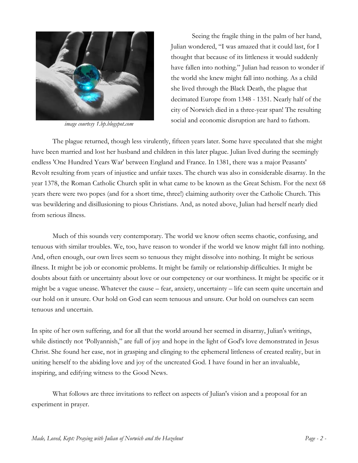

*image courtesy 1.bp.blogspot.com* 

Seeing the fragile thing in the palm of her hand, Julian wondered, "I was amazed that it could last, for I thought that because of its littleness it would suddenly have fallen into nothing." Julian had reason to wonder if the world she knew might fall into nothing. As a child she lived through the Black Death, the plague that decimated Europe from 1348 - 1351. Nearly half of the city of Norwich died in a three-year span! The resulting social and economic disruption are hard to fathom.

The plague returned, though less virulently, fifteen years later. Some have speculated that she might have been married and lost her husband and children in this later plague. Julian lived during the seemingly endless 'One Hundred Years War' between England and France. In 1381, there was a major Peasants' Revolt resulting from years of injustice and unfair taxes. The church was also in considerable disarray. In the year 1378, the Roman Catholic Church split in what came to be known as the Great Schism. For the next 68 years there were two popes (and for a short time, three!) claiming authority over the Catholic Church. This was bewildering and disillusioning to pious Christians. And, as noted above, Julian had herself nearly died from serious illness.

Much of this sounds very contemporary. The world we know often seems chaotic, confusing, and tenuous with similar troubles. We, too, have reason to wonder if the world we know might fall into nothing. And, often enough, our own lives seem so tenuous they might dissolve into nothing. It might be serious illness. It might be job or economic problems. It might be family or relationship difficulties. It might be doubts about faith or uncertainty about love or our competency or our worthiness. It might be specific or it might be a vague unease. Whatever the cause – fear, anxiety, uncertainty – life can seem quite uncertain and our hold on it unsure. Our hold on God can seem tenuous and unsure. Our hold on ourselves can seem tenuous and uncertain.

In spite of her own suffering, and for all that the world around her seemed in disarray, Julian's writings, while distinctly not 'Pollyannish," are full of joy and hope in the light of God's love demonstrated in Jesus Christ. She found her ease, not in grasping and clinging to the ephemeral littleness of created reality, but in uniting herself to the abiding love and joy of the uncreated God. I have found in her an invaluable, inspiring, and edifying witness to the Good News.

What follows are three invitations to reflect on aspects of Julian's vision and a proposal for an experiment in prayer.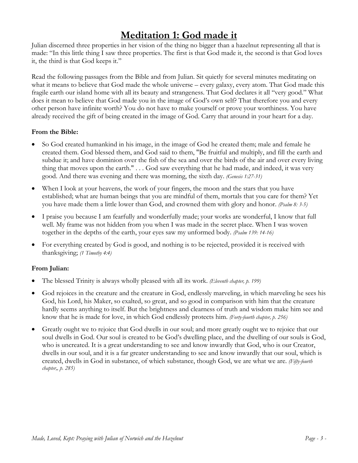# **Meditation 1: God made it**

Julian discerned three properties in her vision of the thing no bigger than a hazelnut representing all that is made: "In this little thing I saw three properties. The first is that God made it, the second is that God loves it, the third is that God keeps it."

Read the following passages from the Bible and from Julian. Sit quietly for several minutes meditating on what it means to believe that God made the whole universe – every galaxy, every atom. That God made this fragile earth our island home with all its beauty and strangeness. That God declares it all "very good." What does it mean to believe that God made you in the image of God's own self? That therefore you and every other person have infinite worth? You do not have to make yourself or prove your worthiness. You have already received the gift of being created in the image of God. Carry that around in your heart for a day.

### **From the Bible:**

- So God created humankind in his image, in the image of God he created them; male and female he created them. God blessed them, and God said to them, "Be fruitful and multiply, and fill the earth and subdue it; and have dominion over the fish of the sea and over the birds of the air and over every living thing that moves upon the earth." . . . God saw everything that he had made, and indeed, it was very good. And there was evening and there was morning, the sixth day. *(Genesis 1:27-31)*
- When I look at your heavens, the work of your fingers, the moon and the stars that you have established; what are human beings that you are mindful of them, mortals that you care for them? Yet you have made them a little lower than God, and crowned them with glory and honor. *(Psalm 8: 3-5)*
- I praise you because I am fearfully and wonderfully made; your works are wonderful, I know that full well. My frame was not hidden from you when I was made in the secret place. When I was woven together in the depths of the earth, your eyes saw my unformed body. *(Psalm 139: 14-16)*
- For everything created by God is good, and nothing is to be rejected, provided it is received with thanksgiving; *(1 Timothy 4:4)*

### **From Julian:**

- The blessed Trinity is always wholly pleased with all its work. *(Eleventh chapter, p. 199)*
- God rejoices in the creature and the creature in God, endlessly marveling, in which marveling he sees his God, his Lord, his Maker, so exalted, so great, and so good in comparison with him that the creature hardly seems anything to itself. But the brightness and clearness of truth and wisdom make him see and know that he is made for love, in which God endlessly protects him. *(Forty-fourth chapter, p. 256)*
- Greatly ought we to rejoice that God dwells in our soul; and more greatly ought we to rejoice that our soul dwells in God. Our soul is created to be God's dwelling place, and the dwelling of our souls is God, who is uncreated. It is a great understanding to see and know inwardly that God, who is our Creator, dwells in our soul, and it is a far greater understanding to see and know inwardly that our soul, which is created, dwells in God in substance, of which substance, though God, we are what we are. *(Fifty-fourth chapter,, p. 285)*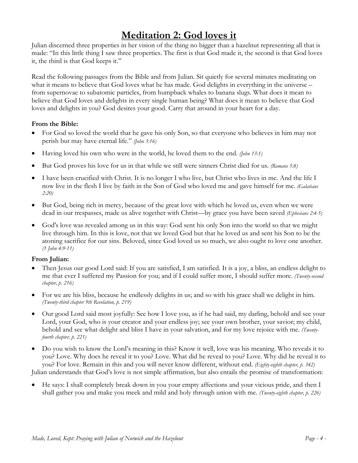# **Meditation 2: God loves it**

Julian discerned three properties in her vision of the thing no bigger than a hazelnut representing all that is made: "In this little thing I saw three properties. The first is that God made it, the second is that God loves it, the third is that God keeps it."

Read the following passages from the Bible and from Julian. Sit quietly for several minutes meditating on what it means to believe that God loves what he has made. God delights in everything in the universe – from supernovae to subatomic particles, from humpback whales to banana slugs. What does it mean to believe that God loves and delights in every single human being? What does it mean to believe that God loves and delights in you? God desires your good. Carry that around in your heart for a day.

#### **From the Bible:**

- For God so loved the world that he gave his only Son, so that everyone who believes in him may not perish but may have eternal life." *(John 3:16)*
- Having loved his own who were in the world, he loved them to the end. *(John 13:1)*
- But God proves his love for us in that while we still were sinners Christ died for us. *(Romans 5:8)*
- I have been crucified with Christ. It is no longer I who live, but Christ who lives in me. And the life I now live in the flesh I live by faith in the Son of God who loved me and gave himself for me. *(Galatians 2:20)*
- But God, being rich in mercy, because of the great love with which he loved us, even when we were dead in our trespasses, made us alive together with Christ—by grace you have been saved *(Ephesians 2:4-5)*
- God's love was revealed among us in this way: God sent his only Son into the world so that we might live through him. In this is love, not that we loved God but that he loved us and sent his Son to be the atoning sacrifice for our sins. Beloved, since God loved us so much, we also ought to love one another. *(1 John 4:9-11)*

#### **From Julian:**

- Then Jesus our good Lord said: If you are satisfied, I am satisfied. It is a joy, a bliss, an endless delight to me that ever I suffered my Passion for you; and if I could suffer more, I should suffer more. *(Twenty-second chapter, p. 216)*
- For we are his bliss, because he endlessly delights in us; and so with his grace shall we delight in him. *(Twenty-third chapter 9th Revelation, p. 219)*
- Our good Lord said most joyfully: See how I love you, as if he had said, my darling, behold and see your Lord, your God, who is your creator and your endless joy; see your own brother, your savior; my child, behold and see what delight and bliss I have in your salvation, and for my love rejoice with me. *(Twentyfourth chapter, p. 221)*
- Do you wish to know the Lord's meaning in this? Know it well, love was his meaning. Who reveals it to you? Love. Why does he reveal it to you? Love. What did he reveal to you? Love. Why did he reveal it to you? For love. Remain in this and you will never know different, without end. *(Eighty-eighth chapter, p. 342)* Julian understands that God's love is not simple affirmation, but also entails the promise of transformation:

 He says: I shall completely break down in you your empty affections and your vicious pride, and then I shall gather you and make you meek and mild and holy through union with me. *(Twenty-eighth chapter, p. 226)*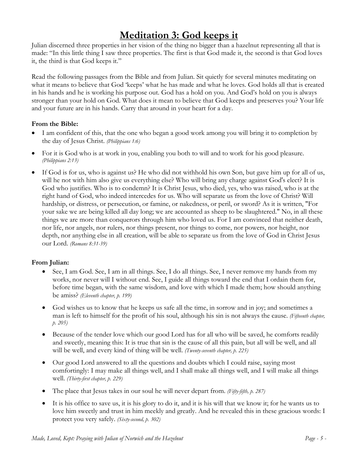# **Meditation 3: God keeps it**

Julian discerned three properties in her vision of the thing no bigger than a hazelnut representing all that is made: "In this little thing I saw three properties. The first is that God made it, the second is that God loves it, the third is that God keeps it."

Read the following passages from the Bible and from Julian. Sit quietly for several minutes meditating on what it means to believe that God 'keeps' what he has made and what he loves. God holds all that is created in his hands and he is working his purpose out. God has a hold on you. And God's hold on you is always stronger than your hold on God. What does it mean to believe that God keeps and preserves you? Your life and your future are in his hands. Carry that around in your heart for a day.

### **From the Bible:**

- I am confident of this, that the one who began a good work among you will bring it to completion by the day of Jesus Christ. *(Philippians 1:6)*
- For it is God who is at work in you, enabling you both to will and to work for his good pleasure. *(Philippians 2:13)*
- If God is for us, who is against us? He who did not withhold his own Son, but gave him up for all of us, will he not with him also give us everything else? Who will bring any charge against God's elect? It is God who justifies. Who is to condemn? It is Christ Jesus, who died, yes, who was raised, who is at the right hand of God, who indeed intercedes for us. Who will separate us from the love of Christ? Will hardship, or distress, or persecution, or famine, or nakedness, or peril, or sword? As it is written, "For your sake we are being killed all day long; we are accounted as sheep to be slaughtered." No, in all these things we are more than conquerors through him who loved us. For I am convinced that neither death, nor life, nor angels, nor rulers, nor things present, nor things to come, nor powers, nor height, nor depth, nor anything else in all creation, will be able to separate us from the love of God in Christ Jesus our Lord. *(Romans 8:31-39)*

### **From Julian:**

- See, I am God. See, I am in all things. See, I do all things. See, I never remove my hands from my works, nor never will I without end. See, I guide all things toward the end that I ordain them for, before time began, with the same wisdom, and love with which I made them; how should anything be amiss? *(Eleventh chapter, p. 199)*
- God wishes us to know that he keeps us safe all the time, in sorrow and in joy; and sometimes a man is left to himself for the profit of his soul, although his sin is not always the cause. *(Fifteenth chapter, p. 205)*
- Because of the tender love which our good Lord has for all who will be saved, he comforts readily and sweetly, meaning this: It is true that sin is the cause of all this pain, but all will be well, and all will be well, and every kind of thing will be well. *(Twenty-seventh chapter, p. 225)*
- Our good Lord answered to all the questions and doubts which I could raise, saying most comfortingly: I may make all things well, and I shall make all things well, and I will make all things well. *(Thirty-first chapter, p. 229)*
- The place that Jesus takes in our soul he will never depart from. *(Fifty-fifth, p. 287)*
- It is his office to save us, it is his glory to do it, and it is his will that we know it; for he wants us to love him sweetly and trust in him meekly and greatly. And he revealed this in these gracious words: I protect you very safely. *(Sixty-second, p. 302)*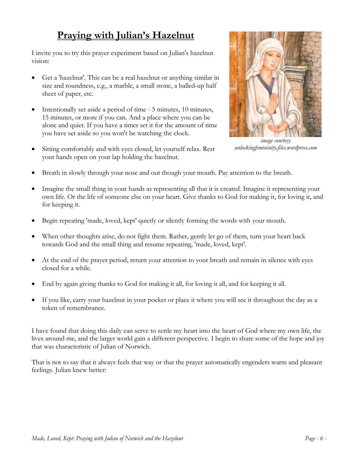# **Praying with Julian's Hazelnut**

I invite you to try this prayer experiment based on Julian's hazelnut vision:

- Get a 'hazelnut'. This can be a real hazelnut or anything similar in size and roundness, e.g., a marble, a small stone, a balled-up half sheet of paper, etc.
- Intentionally set aside a period of time 5 minutes, 10 minutes, 15 minutes, or more if you can. And a place where you can be alone and quiet. If you have a timer set it for the amount of time you have set aside so you won't be watching the clock.
- Sitting comfortably and with eyes closed, let yourself relax. Rest your hands open on your lap holding the hazelnut.



*image courtesy unlockingfemininity.files.wordpress.com* 

- Breath in slowly through your nose and out though your mouth. Pay attention to the breath.
- Imagine the small thing in your hands as representing all that it is created. Imagine it representing your own life. Or the life of someone else on your heart. Give thanks to God for making it, for loving it, and for keeping it.
- Begin repeating 'made, loved, kept' quietly or silently forming the words with your mouth.
- When other thoughts arise, do not fight them. Rather, gently let go of them, turn your heart back towards God and the small thing and resume repeating, 'made, loved, kept'.
- At the end of the prayer period, return your attention to your breath and remain in silence with eyes closed for a while.
- End by again giving thanks to God for making it all, for loving it all, and for keeping it all.
- If you like, carry your hazelnut in your pocket or place it where you will see it throughout the day as a token of remembrance.

I have found that doing this daily can serve to settle my heart into the heart of God where my own life, the lives around me, and the larger world gain a different perspective. I begin to share some of the hope and joy that was characteristic of Julian of Norwich.

That is not to say that it always feels that way or that the prayer automatically engenders warm and pleasant feelings. Julian knew better: